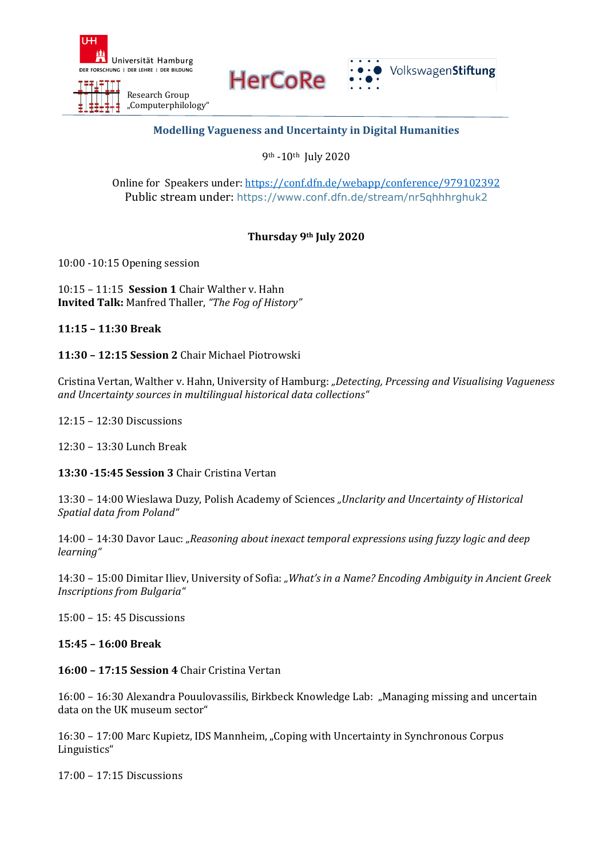

**HerCoRe** 



## **Modelling Vagueness and Uncertainty in Digital Humanities**

9th -10th July 2020

Online for Speakers under[: https://conf.dfn.de/webapp/conference/979102392](https://conf.dfn.de/webapp/conference/979102392) Public stream under: <https://www.conf.dfn.de/stream/nr5qhhhrghuk2>

# **Thursday 9th July 2020**

10:00 -10:15 Opening session

10:15 – 11:15 **Session 1** Chair Walther v. Hahn **Invited Talk:** Manfred Thaller, *"The Fog of History"*

**11:15 – 11:30 Break**

**11:30 – 12:15 Session 2** Chair Michael Piotrowski

Cristina Vertan, Walther v. Hahn, University of Hamburg: *"Detecting, Prcessing and Visualising Vagueness and Uncertainty sources in multilingual historical data collections"*

12:15 – 12:30 Discussions

12:30 – 13:30 Lunch Break

**13:30 -15:45 Session 3** Chair Cristina Vertan

13:30 – 14:00 Wieslawa Duzy, Polish Academy of Sciences *"Unclarity and Uncertainty of Historical Spatial data from Poland"*

14:00 – 14:30 Davor Lauc: *"Reasoning about inexact temporal expressions using fuzzy logic and deep learning"*

14:30 – 15:00 Dimitar Iliev, University of Sofia: *"What's in a Name? Encoding Ambiguity in Ancient Greek Inscriptions from Bulgaria"*

15:00 – 15: 45 Discussions

**15:45 – 16:00 Break**

**16:00 – 17:15 Session 4** Chair Cristina Vertan

16:00 – 16:30 Alexandra Pouulovassilis, Birkbeck Knowledge Lab: "Managing missing and uncertain data on the UK museum sector"

16:30 – 17:00 Marc Kupietz, IDS Mannheim, "Coping with Uncertainty in Synchronous Corpus Linguistics"

17:00 – 17:15 Discussions